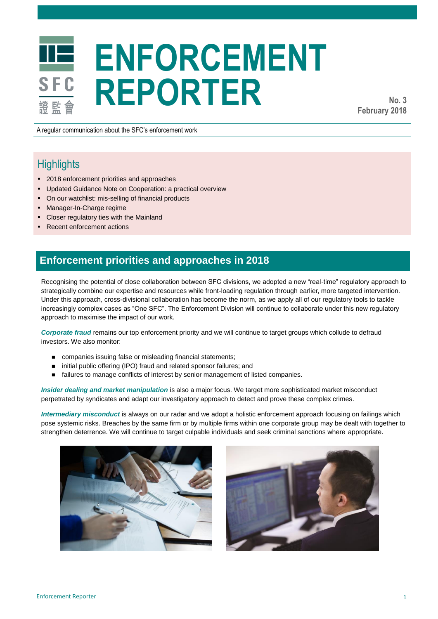# **ENFORCEMENT REPORTER**

**No. 3 February 2018**

A regular communication about the SFC's enforcement work

## **Highlights**

- **2018** enforcement priorities and approaches
- **Updated Guidance Note on Cooperation: a practical overview**
- On our watchlist: mis-selling of financial products
- **Manager-In-Charge regime**
- Closer regulatory ties with the Mainland
- Recent enforcement actions

## **Enforcement priorities and approaches in 2018**

Recognising the potential of close collaboration between SFC divisions, we adopted a new "real-time" regulatory approach to strategically combine our expertise and resources while front-loading regulation through earlier, more targeted intervention. Under this approach, cross-divisional collaboration has become the norm, as we apply all of our regulatory tools to tackle increasingly complex cases as "One SFC". The Enforcement Division will continue to collaborate under this new regulatory approach to maximise the impact of our work.

*Corporate fraud* remains our top enforcement priority and we will continue to target groups which collude to defraud investors. We also monitor:

- companies issuing false or misleading financial statements;
- initial public offering (IPO) fraud and related sponsor failures; and
- **failures to manage conflicts of interest by senior management of listed companies.**

*Insider dealing and market manipulation* is also a major focus. We target more sophisticated market misconduct perpetrated by syndicates and adapt our investigatory approach to detect and prove these complex crimes.

*Intermediary misconduct* is always on our radar and we adopt a holistic enforcement approach focusing on failings which pose systemic risks. Breaches by the same firm or by multiple firms within one corporate group may be dealt with together to strengthen deterrence. We will continue to target culpable individuals and seek criminal sanctions where appropriate.



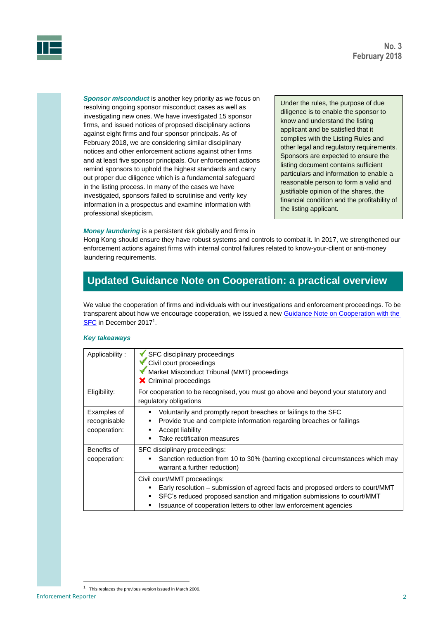

*Sponsor misconduct* is another key priority as we focus on resolving ongoing sponsor misconduct cases as well as investigating new ones. We have investigated 15 sponsor firms, and issued notices of proposed disciplinary actions against eight firms and four sponsor principals. As of February 2018, we are considering similar disciplinary notices and other enforcement actions against other firms and at least five sponsor principals. Our enforcement actions remind sponsors to uphold the highest standards and carry out proper due diligence which is a fundamental safeguard in the listing process. In many of the cases we have investigated, sponsors failed to scrutinise and verify key information in a prospectus and examine information with professional skepticism.

Under the rules, the purpose of due diligence is to enable the sponsor to know and understand the listing applicant and be satisfied that it complies with the Listing Rules and other legal and regulatory requirements. Sponsors are expected to ensure the listing document contains sufficient particulars and information to enable a reasonable person to form a valid and justifiable opinion of the shares, the financial condition and the profitability of the listing applicant.

#### *Money laundering* is a persistent risk globally and firms in

Hong Kong should ensure they have robust systems and controls to combat it. In 2017, we strengthened our enforcement actions against firms with internal control failures related to know-your-client or anti-money laundering requirements.

## **Updated Guidance Note on Cooperation: a practical overview**

We value the cooperation of firms and individuals with our investigations and enforcement proceedings. To be transparent about how we encourage cooperation, we issued a ne[w Guidance Note on Cooperation with the](http://www.sfc.hk/web/EN/assets/components/codes/files-current/web/guidelines/guidance-note-on-cooperation-with-the-sfc/guidance-note-on-cooperation-with-the-sfc.pdf)  [SFC](http://www.sfc.hk/web/EN/assets/components/codes/files-current/web/guidelines/guidance-note-on-cooperation-with-the-sfc/guidance-note-on-cooperation-with-the-sfc.pdf) in December 2017<sup>1</sup>.

#### *Key takeaways*

| Applicability:                              | SFC disciplinary proceedings<br>Civil court proceedings<br>Market Misconduct Tribunal (MMT) proceedings<br>X Criminal proceedings                                                                                                                                             |
|---------------------------------------------|-------------------------------------------------------------------------------------------------------------------------------------------------------------------------------------------------------------------------------------------------------------------------------|
| Eligibility:                                | For cooperation to be recognised, you must go above and beyond your statutory and<br>regulatory obligations                                                                                                                                                                   |
| Examples of<br>recognisable<br>cooperation: | Voluntarily and promptly report breaches or failings to the SFC<br>٠<br>Provide true and complete information regarding breaches or failings<br>٠<br>Accept liability<br>٠<br>Take rectification measures<br>٠                                                                |
| Benefits of<br>cooperation:                 | SFC disciplinary proceedings:<br>Sanction reduction from 10 to 30% (barring exceptional circumstances which may<br>٠<br>warrant a further reduction)                                                                                                                          |
|                                             | Civil court/MMT proceedings:<br>Early resolution – submission of agreed facts and proposed orders to court/MMT<br>٠<br>SFC's reduced proposed sanction and mitigation submissions to court/MMT<br>٠<br>Issuance of cooperation letters to other law enforcement agencies<br>٠ |

 $\overline{a}$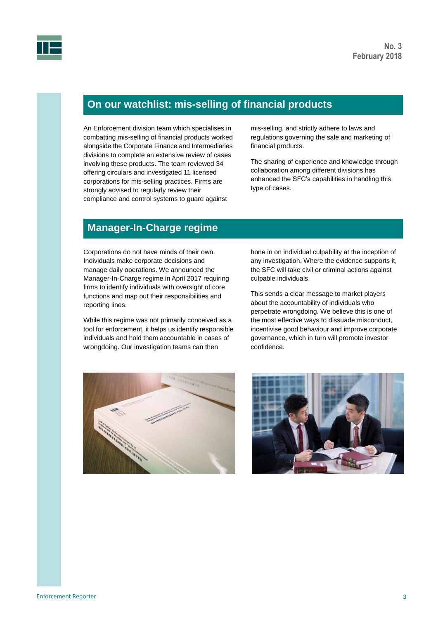

## **On our watchlist: mis-selling of financial products**

An Enforcement division team which specialises in combatting mis-selling of financial products worked alongside the Corporate Finance and Intermediaries divisions to complete an extensive review of cases involving these products. The team reviewed 34 offering circulars and investigated 11 licensed corporations for mis-selling practices. Firms are strongly advised to regularly review their compliance and control systems to guard against

mis-selling, and strictly adhere to laws and regulations governing the sale and marketing of financial products.

The sharing of experience and knowledge through collaboration among different divisions has enhanced the SFC's capabilities in handling this type of cases.

## **Manager-In-Charge regime**

Corporations do not have minds of their own. Individuals make corporate decisions and manage daily operations. We announced the Manager-In-Charge regime in April 2017 requiring firms to identify individuals with oversight of core functions and map out their responsibilities and reporting lines.

While this regime was not primarily conceived as a tool for enforcement, it helps us identify responsible individuals and hold them accountable in cases of wrongdoing. Our investigation teams can then

hone in on individual culpability at the inception of any investigation. Where the evidence supports it, the SFC will take civil or criminal actions against culpable individuals.

This sends a clear message to market players about the accountability of individuals who perpetrate wrongdoing. We believe this is one of the most effective ways to dissuade misconduct, incentivise good behaviour and improve corporate governance, which in turn will promote investor confidence.



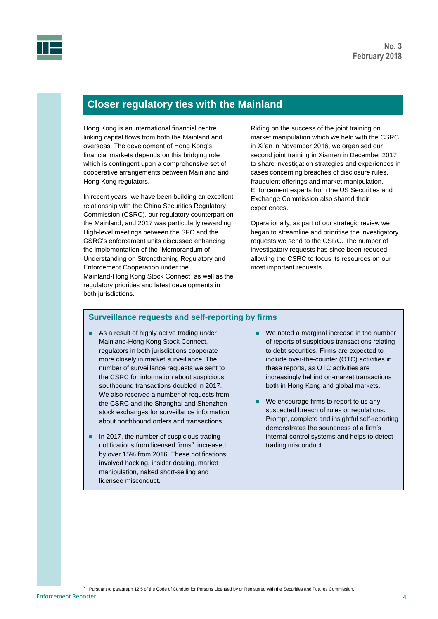

## **Closer regulatory ties with the Mainland**

Hong Kong is an international financial centre linking capital flows from both the Mainland and overseas. The development of Hong Kong's financial markets depends on this bridging role which is contingent upon a comprehensive set of cooperative arrangements between Mainland and Hong Kong regulators.

In recent years, we have been building an excellent relationship with the China Securities Regulatory Commission (CSRC), our regulatory counterpart on the Mainland, and 2017 was particularly rewarding. High-level meetings between the SFC and the CSRC's enforcement units discussed enhancing the implementation of the "Memorandum of Understanding on Strengthening Regulatory and Enforcement Cooperation under the Mainland-Hong Kong Stock Connect" as well as the regulatory priorities and latest developments in both jurisdictions.

Riding on the success of the joint training on market manipulation which we held with the CSRC in Xi'an in November 2016, we organised our second joint training in Xiamen in December 2017 to share investigation strategies and experiences in cases concerning breaches of disclosure rules, fraudulent offerings and market manipulation. Enforcement experts from the US Securities and Exchange Commission also shared their experiences.

Operationally, as part of our strategic review we began to streamline and prioritise the investigatory requests we send to the CSRC. The number of investigatory requests has since been reduced, allowing the CSRC to focus its resources on our most important requests.

### **Surveillance requests and self-reporting by firms**

- As a result of highly active trading under Mainland-Hong Kong Stock Connect, regulators in both jurisdictions cooperate more closely in market surveillance. The number of surveillance requests we sent to the CSRC for information about suspicious southbound transactions doubled in 2017. We also received a number of requests from the CSRC and the Shanghai and Shenzhen stock exchanges for surveillance information about northbound orders and transactions.
- $\blacksquare$  In 2017, the number of suspicious trading notifications from licensed firms<sup>2</sup> increased by over 15% from 2016. These notifications involved hacking, insider dealing, market manipulation, naked short-selling and licensee misconduct.
- We noted a marginal increase in the number of reports of suspicious transactions relating to debt securities. Firms are expected to include over-the-counter (OTC) activities in these reports, as OTC activities are increasingly behind on-market transactions both in Hong Kong and global markets.
- We encourage firms to report to us any suspected breach of rules or regulations. Prompt, complete and insightful self-reporting demonstrates the soundness of a firm's internal control systems and helps to detect trading misconduct.

Enforcement Reporter 4

 $\overline{a}$ 

<sup>&</sup>lt;sup>2</sup> Pursuant to paragraph 12.5 of the Code of Conduct for Persons Licensed by or Registered with the Securities and Futures Commission.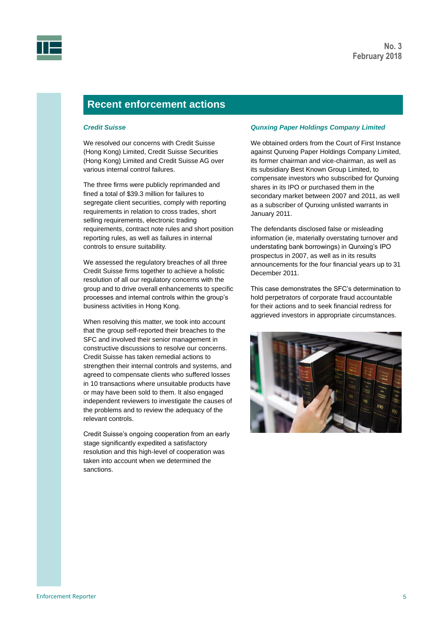



## **Recent enforcement actions**

#### *Credit Suisse*

We resolved our concerns with Credit Suisse (Hong Kong) Limited, Credit Suisse Securities (Hong Kong) Limited and Credit Suisse AG over various internal control failures.

The three firms were publicly reprimanded and fined a total of \$39.3 million for failures to segregate client securities, comply with reporting requirements in relation to cross trades, short selling requirements, electronic trading requirements, contract note rules and short position reporting rules, as well as failures in internal controls to ensure suitability.

We assessed the regulatory breaches of all three Credit Suisse firms together to achieve a holistic resolution of all our regulatory concerns with the group and to drive overall enhancements to specific processes and internal controls within the group's business activities in Hong Kong.

When resolving this matter, we took into account that the group self-reported their breaches to the SFC and involved their senior management in constructive discussions to resolve our concerns. Credit Suisse has taken remedial actions to strengthen their internal controls and systems, and agreed to compensate clients who suffered losses in 10 transactions where unsuitable products have or may have been sold to them. It also engaged independent reviewers to investigate the causes of the problems and to review the adequacy of the relevant controls.

Credit Suisse's ongoing cooperation from an early stage significantly expedited a satisfactory resolution and this high-level of cooperation was taken into account when we determined the sanctions.

#### *Qunxing Paper Holdings Company Limited*

We obtained orders from the Court of First Instance against Qunxing Paper Holdings Company Limited, its former chairman and vice-chairman, as well as its subsidiary Best Known Group Limited, to compensate investors who subscribed for Qunxing shares in its IPO or purchased them in the secondary market between 2007 and 2011, as well as a subscriber of Qunxing unlisted warrants in January 2011.

The defendants disclosed false or misleading information (ie, materially overstating turnover and understating bank borrowings) in Qunxing's IPO prospectus in 2007, as well as in its results announcements for the four financial years up to 31 December 2011.

This case demonstrates the SFC's determination to hold perpetrators of corporate fraud accountable for their actions and to seek financial redress for aggrieved investors in appropriate circumstances.